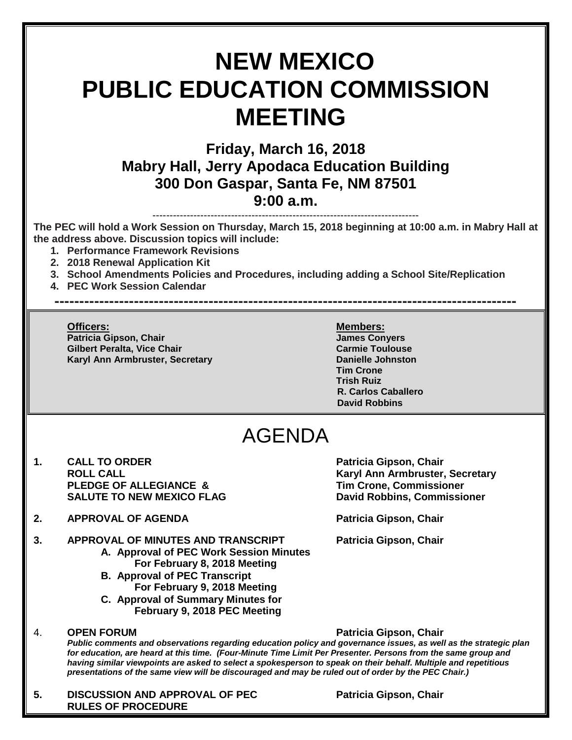# **NEW MEXICO PUBLIC EDUCATION COMMISSION MEETING**

### **Friday, March 16, 2018 Mabry Hall, Jerry Apodaca Education Building 300 Don Gaspar, Santa Fe, NM 87501 9:00 a.m.**

------------------------------------------------------------------------------

**The PEC will hold a Work Session on Thursday, March 15, 2018 beginning at 10:00 a.m. in Mabry Hall at the address above. Discussion topics will include:** 

- **1. Performance Framework Revisions**
- **2. 2018 Renewal Application Kit**
- **3. School Amendments Policies and Procedures, including adding a School Site/Replication**

**---------------------------------------------------------------------------------------------**

**4. PEC Work Session Calendar**

**Officers: Members: Patricia Gipson, Chair James Conyers Gilbert Peralta, Vice Chair Carmie Toulouse** Carmie Toulouse **Karyl Ann Armbruster, Secretary <b>Danielle Johnston** 

**Tim Crone Trish Ruiz R. Carlos Caballero David Robbins**

## AGENDA

- 1. **CALL TO ORDER Patricia Gipson, Chair ROLL CALL CALL ROLL CALL PLEDGE OF ALLEGIANCE & Tim Crone, Commissioner SALUTE TO NEW MEXICO FLAG David Robbins, Commissioner**
- 2. **APPROVAL OF AGENDA Patricia Gipson, Chair**

- **3. APPROVAL OF MINUTES AND TRANSCRIPT Patricia Gipson, Chair A. Approval of PEC Work Session Minutes For February 8, 2018 Meeting**
	- **B. Approval of PEC Transcript For February 9, 2018 Meeting**
	- **C. Approval of Summary Minutes for February 9, 2018 PEC Meeting**

#### 4. **OPEN FORUM Patricia Gipson, Chair**

*Public comments and observations regarding education policy and governance issues, as well as the strategic plan for education, are heard at this time. (Four-Minute Time Limit Per Presenter. Persons from the same group and having similar viewpoints are asked to select a spokesperson to speak on their behalf. Multiple and repetitious presentations of the same view will be discouraged and may be ruled out of order by the PEC Chair.)*

**5. DISCUSSION AND APPROVAL OF PEC Patricia Gipson, Chair RULES OF PROCEDURE**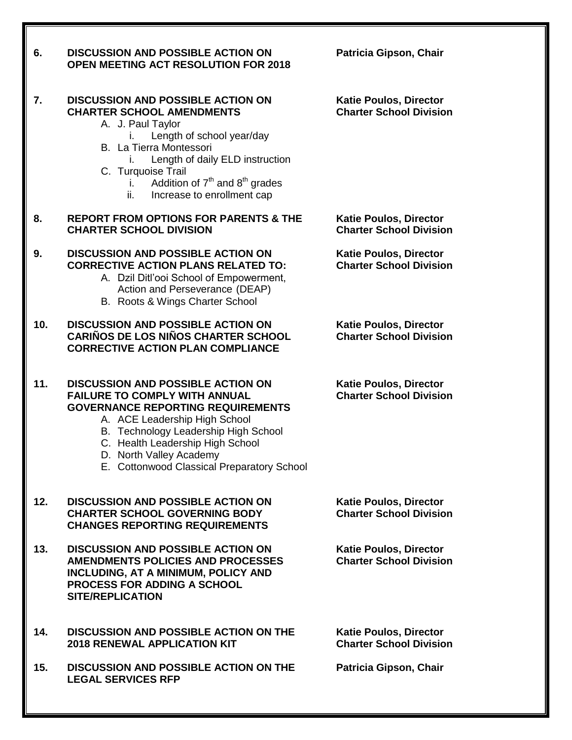| 6.  | <b>DISCUSSION AND POSSIBLE ACTION ON</b><br><b>OPEN MEETING ACT RESOLUTION FOR 2018</b>                                                                                                                                                                                                                            | Patricia Gipson, Chair                                          |
|-----|--------------------------------------------------------------------------------------------------------------------------------------------------------------------------------------------------------------------------------------------------------------------------------------------------------------------|-----------------------------------------------------------------|
| 7.  | <b>DISCUSSION AND POSSIBLE ACTION ON</b><br><b>CHARTER SCHOOL AMENDMENTS</b><br>A. J. Paul Taylor<br>Length of school year/day<br>L.<br>B. La Tierra Montessori<br>Length of daily ELD instruction<br>Ĺ.<br>C. Turquoise Trail<br>Addition of $7th$ and $8th$ grades<br>i.<br>ii.<br>Increase to enrollment cap    | <b>Katie Poulos, Director</b><br><b>Charter School Division</b> |
| 8.  | <b>REPORT FROM OPTIONS FOR PARENTS &amp; THE</b><br><b>CHARTER SCHOOL DIVISION</b>                                                                                                                                                                                                                                 | <b>Katie Poulos, Director</b><br><b>Charter School Division</b> |
| 9.  | <b>DISCUSSION AND POSSIBLE ACTION ON</b><br><b>CORRECTIVE ACTION PLANS RELATED TO:</b><br>A. Dzil Ditl'ooi School of Empowerment,<br>Action and Perseverance (DEAP)<br>B. Roots & Wings Charter School                                                                                                             | <b>Katie Poulos, Director</b><br><b>Charter School Division</b> |
| 10. | <b>DISCUSSION AND POSSIBLE ACTION ON</b><br><b>CARIÑOS DE LOS NIÑOS CHARTER SCHOOL</b><br><b>CORRECTIVE ACTION PLAN COMPLIANCE</b>                                                                                                                                                                                 | <b>Katie Poulos, Director</b><br><b>Charter School Division</b> |
| 11. | <b>DISCUSSION AND POSSIBLE ACTION ON</b><br><b>FAILURE TO COMPLY WITH ANNUAL</b><br><b>GOVERNANCE REPORTING REQUIREMENTS</b><br>A. ACE Leadership High School<br>B. Technology Leadership High School<br>C. Health Leadership High School<br>D. North Valley Academy<br>E. Cottonwood Classical Preparatory School | <b>Katie Poulos, Director</b><br><b>Charter School Division</b> |
| 12. | <b>DISCUSSION AND POSSIBLE ACTION ON</b><br><b>CHARTER SCHOOL GOVERNING BODY</b><br><b>CHANGES REPORTING REQUIREMENTS</b>                                                                                                                                                                                          | <b>Katie Poulos, Director</b><br><b>Charter School Division</b> |
| 13. | <b>DISCUSSION AND POSSIBLE ACTION ON</b><br><b>AMENDMENTS POLICIES AND PROCESSES</b><br><b>INCLUDING, AT A MINIMUM, POLICY AND</b><br><b>PROCESS FOR ADDING A SCHOOL</b><br><b>SITE/REPLICATION</b>                                                                                                                | <b>Katie Poulos, Director</b><br><b>Charter School Division</b> |
| 14. | <b>DISCUSSION AND POSSIBLE ACTION ON THE</b><br><b>2018 RENEWAL APPLICATION KIT</b>                                                                                                                                                                                                                                | <b>Katie Poulos, Director</b><br><b>Charter School Division</b> |
| 15. | <b>DISCUSSION AND POSSIBLE ACTION ON THE</b><br><b>LEGAL SERVICES RFP</b>                                                                                                                                                                                                                                          | Patricia Gipson, Chair                                          |